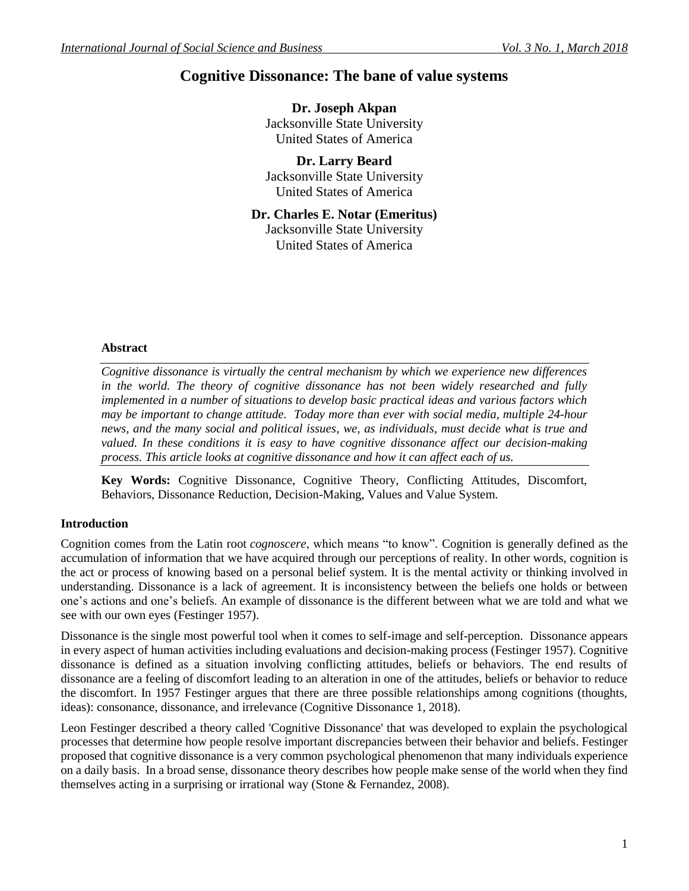# **Cognitive Dissonance: The bane of value systems**

**Dr. Joseph Akpan** Jacksonville State University United States of America

**Dr. Larry Beard** Jacksonville State University United States of America

**Dr. Charles E. Notar (Emeritus)** Jacksonville State University United States of America

#### **Abstract**

*Cognitive dissonance is virtually the central mechanism by which we experience new differences in the world. The theory of cognitive dissonance has not been widely researched and fully implemented in a number of situations to develop basic practical ideas and various factors which may be important to change attitude. Today more than ever with social media, multiple 24-hour news, and the many social and political issues, we, as individuals, must decide what is true and valued. In these conditions it is easy to have cognitive dissonance affect our decision-making process. This article looks at cognitive dissonance and how it can affect each of us.*

**Key Words:** Cognitive Dissonance, Cognitive Theory, Conflicting Attitudes, Discomfort, Behaviors, Dissonance Reduction, Decision-Making, Values and Value System.

#### **Introduction**

Cognition comes from the Latin root *cognoscere*, which means "to know". Cognition is generally defined as the accumulation of information that we have acquired through our perceptions of reality. In other words, cognition is the act or process of knowing based on a personal belief system. It is the mental activity or thinking involved in understanding. Dissonance is a lack of agreement. It is inconsistency between the beliefs one holds or between one's actions and one's beliefs. An example of dissonance is the different between what we are told and what we see with our own eyes (Festinger 1957).

Dissonance is the single most powerful tool when it comes to self-image and self-perception. Dissonance appears in every aspect of human activities including evaluations and decision-making process (Festinger 1957). Cognitive dissonance is defined as a situation involving conflicting attitudes, beliefs or behaviors. The end results of dissonance are a feeling of discomfort leading to an alteration in one of the attitudes, beliefs or behavior to reduce the discomfort. In 1957 Festinger argues that there are three possible relationships among cognitions (thoughts, ideas): consonance, dissonance, and irrelevance (Cognitive Dissonance 1, 2018).

Leon Festinger described a theory called 'Cognitive Dissonance' that was developed to explain the psychological processes that determine how people resolve important discrepancies between their behavior and beliefs. Festinger proposed that cognitive dissonance is a very common psychological phenomenon that many individuals experience on a daily basis. In a broad sense, dissonance theory describes how people make sense of the world when they find themselves acting in a surprising or irrational way (Stone & Fernandez, 2008).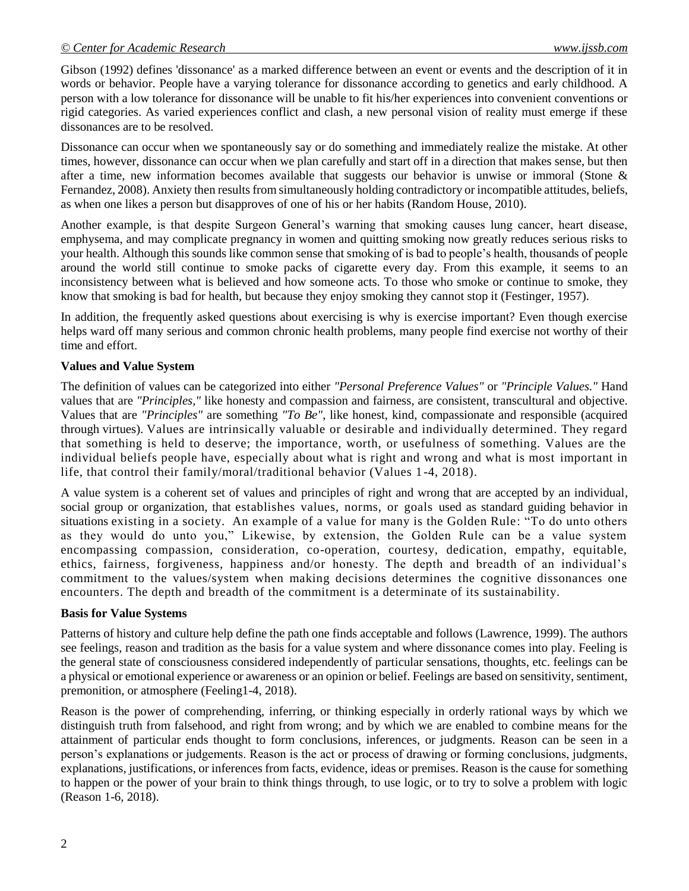#### *© Center for Academic Research www.ijssb.com*

Gibson (1992) defines 'dissonance' as a marked difference between an event or events and the description of it in words or behavior. People have a varying tolerance for dissonance according to genetics and early childhood. A person with a low tolerance for dissonance will be unable to fit his/her experiences into convenient conventions or rigid categories. As varied experiences conflict and clash, a new personal vision of reality must emerge if these dissonances are to be resolved.

Dissonance can occur when we spontaneously say or do something and immediately realize the mistake. At other times, however, dissonance can occur when we plan carefully and start off in a direction that makes sense, but then after a time, new information becomes available that suggests our behavior is unwise or immoral (Stone & Fernandez, 2008). Anxiety then results from simultaneously holding contradictory or incompatible attitudes, beliefs, as when one likes a person but disapproves of one of his or her habits (Random House, 2010).

Another example, is that despite Surgeon General's warning that smoking causes lung cancer, heart disease, emphysema, and may complicate pregnancy in women and quitting smoking now greatly reduces serious risks to your health. Although this sounds like common sense that smoking of is bad to people's health, thousands of people around the world still continue to smoke packs of cigarette every day. From this example, it seems to an inconsistency between what is believed and how someone acts. To those who smoke or continue to smoke, they know that smoking is bad for health, but because they enjoy smoking they cannot stop it (Festinger, 1957).

In addition, the frequently asked questions about exercising is why is exercise important? Even though exercise helps ward off many serious and common chronic health problems, many people find exercise not worthy of their time and effort.

#### **Values and Value System**

The definition of values can be categorized into either *"Personal Preference Values"* or *"Principle Values."* Hand values that are *"Principles,"* like honesty and compassion and fairness, are consistent, transcultural and objective. Values that are *"Principles"* are something *"To Be"*, like honest, kind, compassionate and responsible (acquired through virtues). Values are intrinsically valuable or desirable and individually determined. They regard that something is held to deserve; the importance, worth, or usefulness of something. Values are the individual beliefs people have, especially about what is right and wrong and what is most important in life, that control their family/moral/traditional behavior (Values 1 -4, 2018).

A value system is a coherent set of values and principles of right and wrong that are accepted by an individual, social group or [organization,](https://thelawdictionary.org/organization/) that establishes values, norms, or goals used as standard guiding behavior in situations existing in a society. An example of a value for many is the Golden Rule: "To do unto others as they would do unto you," Likewise, by extension, the Golden Rule can be a value system encompassing compassion, consideration, co-operation, courtesy, dedication, empathy, equitable, ethics, fairness, forgiveness, happiness and/or honesty. The depth and breadth of an individual's commitment to the values/system when making decisions determines the cognitive dissonances one encounters. The depth and breadth of the commitment is a determinate of its sustainability.

#### **Basis for Value Systems**

Patterns of history and culture help define the path one finds acceptable and follows (Lawrence, 1999). The authors see feelings, reason and tradition as the basis for a value system and where dissonance comes into play. Feeling is the general state of consciousness considered independently of particular sensations, thoughts, etc. feelings can be a physical or emotional experience or awareness or an opinion or belief. Feelings are based on sensitivity, sentiment, premonition, or atmosphere (Feeling1-4, 2018).

Reason is the power of comprehending, inferring, or thinking especially in orderly rational ways by which we distinguish truth from falsehood, and right from wrong; and by which we are enabled to combine means for the attainment of particular ends thought to form conclusions, inferences, or judgments. Reason can be seen in a person's explanations or judgements. Reason is the act or process of drawing or forming conclusions, judgments, explanations, justifications, or inferences from facts, evidence, ideas or premises. Reason is the cause for something to happen or the power of your brain to think things through, to use logic, or to try to solve a problem with logic (Reason 1-6, 2018).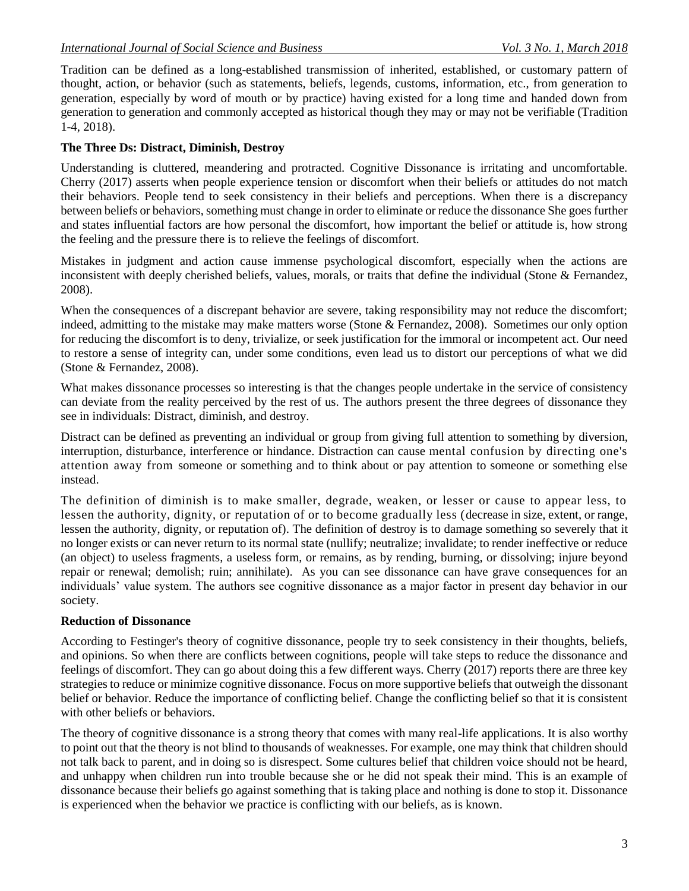Tradition can be defined as a long-established transmission of inherited, established, or customary pattern of thought, action, or behavior (such as statements, beliefs, legends, customs, information, etc., from generation to generation, especially by word of mouth or by practice) having existed for a long time and handed down from generation to generation and commonly accepted as historical though they may or may not be verifiable (Tradition 1-4, 2018).

## **The Three Ds: Distract, Diminish, Destroy**

Understanding is cluttered, meandering and protracted. Cognitive Dissonance is irritating and uncomfortable. Cherry (2017) asserts when people experience tension or discomfort when their beliefs or attitudes do not match their behaviors. People tend to seek consistency in their beliefs and perceptions. When there is a discrepancy between beliefs or behaviors, something must change in order to eliminate or reduce the dissonance She goes further and states influential factors are how personal the discomfort, how important the belief or attitude is, how strong the feeling and the pressure there is to relieve the feelings of discomfort.

Mistakes in judgment and action cause immense psychological discomfort, especially when the actions are inconsistent with deeply cherished beliefs, values, morals, or traits that define the individual (Stone & Fernandez, 2008).

When the consequences of a discrepant behavior are severe, taking responsibility may not reduce the discomfort; indeed, admitting to the mistake may make matters worse (Stone & Fernandez, 2008). Sometimes our only option for reducing the discomfort is to deny, trivialize, or seek justification for the immoral or incompetent act. Our need to restore a sense of integrity can, under some conditions, even lead us to distort our perceptions of what we did (Stone & Fernandez, 2008).

What makes dissonance processes so interesting is that the changes people undertake in the service of consistency can deviate from the reality perceived by the rest of us. The authors present the three degrees of dissonance they see in individuals: Distract, diminish, and destroy.

Distract can be defined as preventing an individual or group from giving full attention to something by diversion, interruption, disturbance, interference or hindance. Distraction can cause mental confusion by directing one's attention away from someone or something and to think about or pay attention to someone or something else instead.

The definition of diminish is to make smaller, degrade, weaken, or lesser or cause to appear less, to lessen the authority, dignity, or reputation of or to become gradually less (decrease in size, extent, or range, lessen the authority, dignity, or reputation of). The definition of destroy is to [damage](https://www.macmillandictionary.com/dictionary/british/damage_1) something so [severely](https://www.macmillandictionary.com/dictionary/british/severely) that it n[o longer](https://www.macmillandictionary.com/dictionary/british/long_1) [exists](https://www.macmillandictionary.com/dictionary/british/exist) or can never return to its normal state (nullify; neutralize; invalidate; to render ineffective or reduce (an object) to useless fragments, a useless form, or remains, as by rending, burning, or dissolving; injure beyond repair or renewal; demolish; ruin; annihilate). As you can see dissonance can have grave consequences for an individuals' value system. The authors see cognitive dissonance as a major factor in present day behavior in our society.

### **Reduction of Dissonance**

According to Festinger's theory of cognitive dissonance, people try to seek consistency in their thoughts, beliefs, and opinions. So when there are conflicts between cognitions, people will take steps to reduce the dissonance and feelings of discomfort. They can go about doing this a few different ways. Cherry (2017) reports there are three key strategies to reduce or minimize cognitive dissonance. Focus on more supportive beliefs that outweigh the dissonant belief or behavior. Reduce the importance of conflicting belief. Change the conflicting belief so that it is consistent with other beliefs or behaviors.

The theory of cognitive dissonance is a strong theory that comes with many real-life applications. It is also worthy to point out that the theory is not blind to thousands of weaknesses. For example, one may think that children should not talk back to parent, and in doing so is disrespect. Some cultures belief that children voice should not be heard, and unhappy when children run into trouble because she or he did not speak their mind. This is an example of dissonance because their beliefs go against something that is taking place and nothing is done to stop it. Dissonance is experienced when the behavior we practice is conflicting with our beliefs, as is known.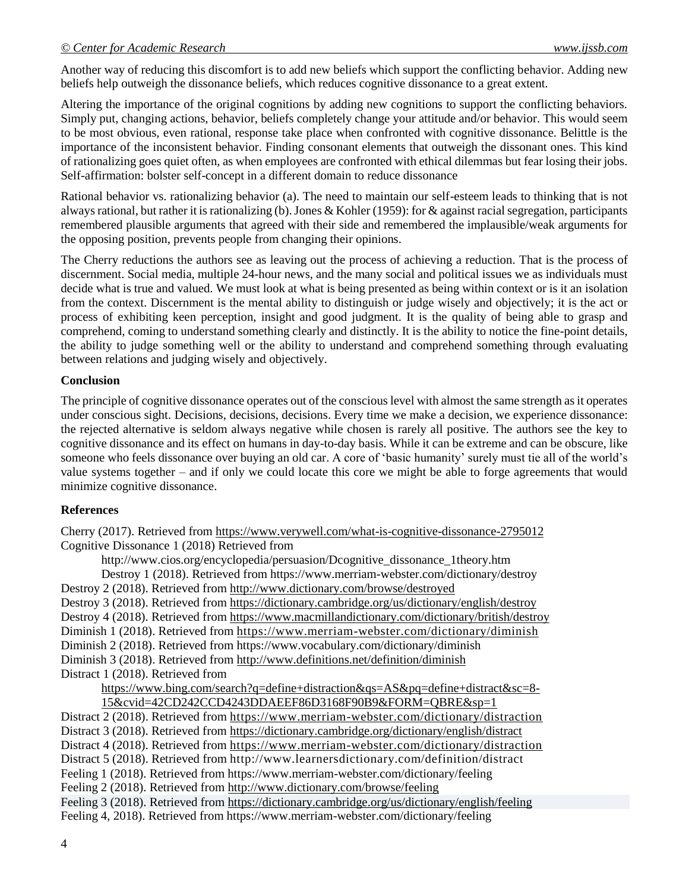Another way of reducing this discomfort is to add new beliefs which support the conflicting behavior. Adding new beliefs help outweigh the dissonance beliefs, which reduces cognitive dissonance to a great extent.

Altering the importance of the original cognitions by adding new cognitions to support the conflicting behaviors. Simply put, changing actions, behavior, beliefs completely change your attitude and/or behavior. This would seem to be most obvious, even rational, response take place when confronted with cognitive dissonance. Belittle is the importance of the inconsistent behavior. Finding consonant elements that outweigh the dissonant ones. This kind of rationalizing goes quiet often, as when employees are confronted with ethical dilemmas but fear losing their jobs. Self-affirmation: bolster self-concept in a different domain to reduce dissonance

Rational behavior vs. rationalizing behavior (a). The need to maintain our self-esteem leads to thinking that is not always rational, but rather it is rationalizing (b). Jones & Kohler (1959): for & against racial segregation, participants remembered plausible arguments that agreed with their side and remembered the implausible/weak arguments for the opposing position, prevents people from changing their opinions.

The Cherry reductions the authors see as leaving out the process of achieving a reduction. That is the process of discernment. Social media, multiple 24-hour news, and the many social and political issues we as individuals must decide what is true and valued. We must look at what is being presented as being within context or is it an isolation from the context. Discernment is the mental ability to distinguish or judge wisely and objectively; it is the act or process of exhibiting keen perception, insight and good judgment. It is the quality of being able to grasp and comprehend, coming to understand something clearly and distinctly. It is the ability to notice the fine-point details, the ability to judge something well or the ability to understand and comprehend something through evaluating between relations and judging wisely and objectively.

## **Conclusion**

The principle of cognitive dissonance operates out of the conscious level with almost the same strength as it operates under conscious sight. Decisions, decisions, decisions. Every time we make a decision, we experience dissonance: the rejected alternative is seldom always negative while chosen is rarely all positive. The authors see the key to cognitive dissonance and its effect on humans in day-to-day basis. While it can be extreme and can be obscure, like someone who feels dissonance over buying an old car. A core of 'basic humanity' surely must tie all of the world's value systems together – and if only we could locate this core we might be able to forge agreements that would minimize cognitive dissonance.

## **References**

Cherry (2017). Retrieved from<https://www.verywell.com/what-is-cognitive-dissonance-2795012> Cognitive Dissonance 1 (2018) Retrieved from

http://www.cios.org/encyclopedia/persuasion/Dcognitive\_dissonance\_1theory.htm Destroy 1 (2018). Retrieved from https://www.merriam-webster.com/dictionary/destroy Destroy 2 (2018). Retrieved from<http://www.dictionary.com/browse/destroyed> Destroy 3 (2018). Retrieved from<https://dictionary.cambridge.org/us/dictionary/english/destroy> Destroy 4 (2018). Retrieved from<https://www.macmillandictionary.com/dictionary/british/destroy> Diminish 1 (2018). Retrieved from<https://www.merriam-webster.com/dictionary/diminish> Diminish 2 (2018). Retrieved from https://www.vocabulary.com/dictionary/diminish Diminish 3 (2018). Retrieved from<http://www.definitions.net/definition/diminish> Distract 1 (2018). Retrieved from [https://www.bing.com/search?q=define+distraction&qs=AS&pq=define+distract&sc=8-](https://www.bing.com/search?q=define+distraction&qs=AS&pq=define+distract&sc=8-15&cvid=42CD242CCD4243DDAEEF86D3168F90B9&FORM=QBRE&sp=1)

[15&cvid=42CD242CCD4243DDAEEF86D3168F90B9&FORM=QBRE&sp=1](https://www.bing.com/search?q=define+distraction&qs=AS&pq=define+distract&sc=8-15&cvid=42CD242CCD4243DDAEEF86D3168F90B9&FORM=QBRE&sp=1) Distract 2 (2018). Retrieved from<https://www.merriam-webster.com/dictionary/distraction> Distract 3 (2018). Retrieved from<https://dictionary.cambridge.org/dictionary/english/distract> Distract 4 (2018). Retrieved from<https://www.merriam-webster.com/dictionary/distraction> Distract 5 (2018). Retrieved from http://www.learnersdictionary.com/definition/distract Feeling 1 (2018). Retrieved from https://www.merriam-webster.com/dictionary/feeling Feeling 2 (2018). Retrieved from<http://www.dictionary.com/browse/feeling> Feeling 3 (2018). Retrieved from<https://dictionary.cambridge.org/us/dictionary/english/feeling> Feeling 4, 2018). Retrieved from https://www.merriam-webster.com/dictionary/feeling